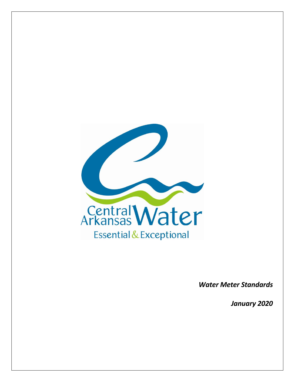

*Water Meter Standards*

*January 2020*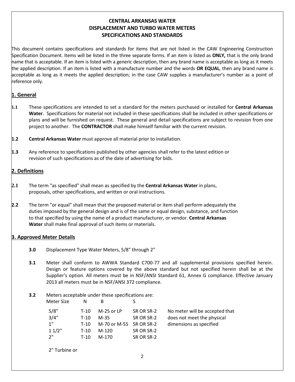# **CENTRAL ARKANSAS WATER DISPLACEMENT AND TURBO WATER METERS SPECIFICATIONS AND STANDARDS**

This document contains specifications and standards for items that are not listed in the CAW Engineering Construction Specification Document. Items will be listed in the three separate forms. If an item is listed as **ONLY,** that is the only brand name that is acceptable. If an item is listed with a generic description, then any brand name is acceptable as long as it meets the applied description. If an item is listed with a manufacture number and the words **OR EQUAL**, then any brand name is acceptable as long as it meets the applied description; in the case CAW supplies a manufacturer's number as a point of reference only.

## **1. General**

- **1.1** These specifications are intended to set a standard for the meters purchased or installed for **Central Arkansas Water**. Specifications for material not included in these specifications shall be included in other specifications or plans and will be furnished on request. These general and detail specifications are subject to revision from one project to another. The **CONTRACTOR** shall make himself familiar with the current revision.
- **1.2 Central Arkansas Water** must approve all material prior to installation.
- **1.3** Any reference to specifications published by other agencies shall refer to the latest edition or revision of such specifications as of the date of advertising for bids.

## **2. Definitions**

- **2.1** The term "as specified" shall mean as specified by the **Central Arkansas Water** in plans, proposals, other specifications, and written or oral instructions.
- **2.2** The term "or equal" shall mean that the proposed material or item shall perform adequately the duties imposed by the general design and is of the same or equal design, substance, and function to that specified by using the name of a product manufacturer, or vendor. **Central Arkansas Water** shall make final approval of such items or materials.

## **3. Approved Meter Details**

- **3.0** Displacement Type Water Meters, 5/8" through 2"
- **3.1** Meter shall conform to AWWA Standard C700-77 and all supplemental provisions specified herein. Design or feature options covered by the above standard but not specified herein shall be at the Supplier's option. All meters must be in NSF/ANSI Standard 61, Annex G compliance. Effective January 2013 all meters must be in NSF/ANSI 372 compliance.
- **3.2** Meters acceptable under these specifications are: Meter Size N

| ivieter Size | $\mathbf{N}$ . B |                         |            |                                |
|--------------|------------------|-------------------------|------------|--------------------------------|
| 5/8"         | T-10             | $M-25$ or LP            | SR OR SR-2 | No meter will be accepted that |
| 3/4"         | T-10             | M-35                    | SR OR SR-2 | does not meet the physical     |
| 1"           | T-10             | M-70 or M-55 SR OR SR-2 |            | dimensions as specified        |
| 11/2"        | T-10             | M-120                   | SR OR SR-2 |                                |
| 2"           | T-10             | M-170                   | SR OR SR-2 |                                |
|              |                  |                         |            |                                |

2" Turbine or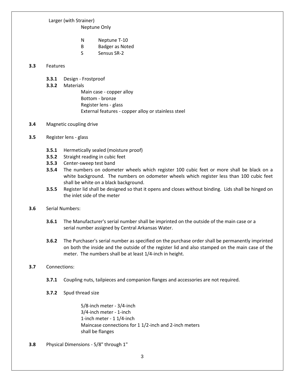# Larger (with Strainer)

Neptune Only

- N Neptune T-10
- B Badger as Noted
- S Sensus SR-2

### **3.3** Features

**3.3.1** Design - Frostproof

### **3.3.2** Materials

Main case - copper alloy Bottom - bronze Register lens - glass External features - copper alloy or stainless steel

#### **3.4** Magnetic coupling drive

- **3.5** Register lens glass
	- **3.5.1** Hermetically sealed (moisture proof)
	- **3.5.2** Straight reading in cubic feet
	- **3.5.3** Center-sweep test band
	- **3.5.4** The numbers on odometer wheels which register 100 cubic feet or more shall be black on a white background. The numbers on odometer wheels which register less than 100 cubic feet shall be white on a black background.
	- **3.5.5** Register lid shall be designed so that it opens and closes without binding. Lids shall be hinged on the inlet side of the meter

#### **3.6** Serial Numbers:

- **3.6.1** The Manufacturer's serial number shall be imprinted on the outside of the main case or a serial number assigned by Central Arkansas Water.
- **3.6.2** The Purchaser's serial number as specified on the purchase order shall be permanently imprinted on both the inside and the outside of the register lid and also stamped on the main case of the meter. The numbers shall be at least 1/4-inch in height.

## **3.7** Connections:

- **3.7.1** Coupling nuts, tailpieces and companion flanges and accessories are not required.
- **3.7.2** Spud thread size

5/8-inch meter - 3/4-inch 3/4-inch meter - 1-inch 1-inch meter - 1 1/4-inch Maincase connections for 1 1/2-inch and 2-inch meters shall be flanges

**3.8** Physical Dimensions - 5/8" through 1"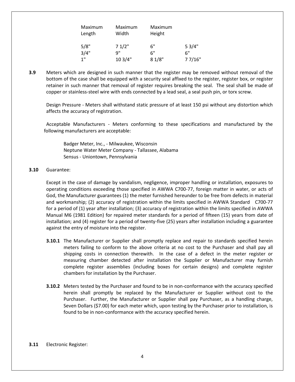| Maximum | Maximum | Maximum |        |
|---------|---------|---------|--------|
| Length  | Width   | Height  |        |
|         |         |         |        |
| 5/8"    | 71/2"   | 6"      | 53/4"  |
| 3/4"    | q"      | 6"      | 6"     |
| 1"      | 10 3/4" | 81/8"   | 77/16" |

**3.9** Meters which are designed in such manner that the register may be removed without removal of the bottom of the case shall be equipped with a security seal affixed to the register, register box, or register retainer in such manner that removal of register requires breaking the seal. The seal shall be made of copper or stainless-steel wire with ends connected by a lead seal, a seal push pin, or torx screw.

Design Pressure - Meters shall withstand static pressure of at least 150 psi without any distortion which affects the accuracy of registration.

Acceptable Manufacturers - Meters conforming to these specifications and manufactured by the following manufacturers are acceptable:

Badger Meter, Inc., - Milwaukee, Wisconsin Neptune Water Meter Company - Tallassee, Alabama Sensus - Uniontown, Pennsylvania

#### **3.10** Guarantee:

Except in the case of damage by vandalism, negligence, improper handling or installation, exposures to operating conditions exceeding those specified in AWWA C700-77, foreign matter in water, or acts of God, the Manufacturer guarantees (1) the meter furnished hereunder to be free from defects in material and workmanship; (2) accuracy of registration within the limits specified in AWWA Standard C700-77 for a period of (1) year after installation; (3) accuracy of registration within the limits specified in AWWA Manual M6 (1981 Edition) for repaired meter standards for a period of fifteen (15) years from date of installation; and (4) register for a period of twenty-five (25) years after installation including a guarantee against the entry of moisture into the register.

- **3.10.1** The Manufacturer or Supplier shall promptly replace and repair to standards specified herein meters failing to conform to the above criteria at no cost to the Purchaser and shall pay all shipping costs in connection therewith. In the case of a defect in the meter register or measuring chamber detected after installation the Supplier or Manufacturer may furnish complete register assemblies (including boxes for certain designs) and complete register chambers for installation by the Purchaser.
- **3.10.2** Meters tested by the Purchaser and found to be in non-conformance with the accuracy specified herein shall promptly be replaced by the Manufacturer or Supplier without cost to the Purchaser. Further, the Manufacturer or Supplier shall pay Purchaser, as a handling charge, Seven Dollars (\$7.00) for each meter which, upon testing by the Purchaser prior to installation, is found to be in non-conformance with the accuracy specified herein.

#### **3.11** Electronic Register: